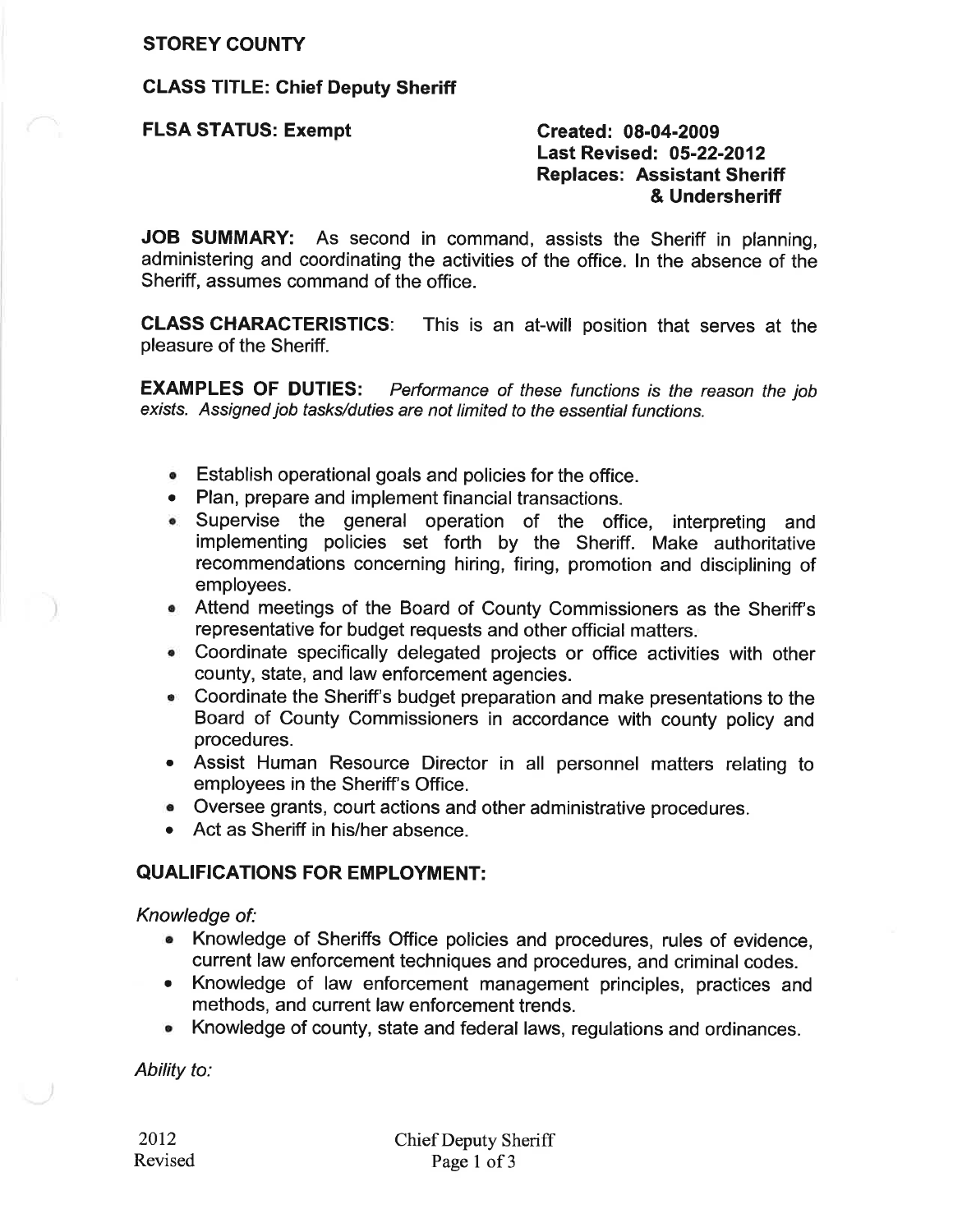#### **STOREY COUNTY**

## **CLASS TITLE: Chief Deputy Sheriff**

**FLSA STATUS: Exempt** 

Created: 08-04-2009 **Last Revised: 05-22-2012 Replaces: Assistant Sheriff** & Undersheriff

JOB SUMMARY: As second in command, assists the Sheriff in planning, administering and coordinating the activities of the office. In the absence of the Sheriff, assumes command of the office.

**CLASS CHARACTERISTICS:** This is an at-will position that serves at the pleasure of the Sheriff.

**EXAMPLES OF DUTIES:** Performance of these functions is the reason the job exists. Assigned job tasks/duties are not limited to the essential functions.

- Establish operational goals and policies for the office.
- Plan, prepare and implement financial transactions.
- Supervise the general operation of the office, interpreting and implementing policies set forth by the Sheriff. Make authoritative recommendations concerning hiring, firing, promotion and disciplining of employees.
- Attend meetings of the Board of County Commissioners as the Sheriff's representative for budget requests and other official matters.
- Coordinate specifically delegated projects or office activities with other county, state, and law enforcement agencies.
- Coordinate the Sheriff's budget preparation and make presentations to the Board of County Commissioners in accordance with county policy and procedures.
- Assist Human Resource Director in all personnel matters relating to employees in the Sheriff's Office.
- Oversee grants, court actions and other administrative procedures.
- Act as Sheriff in his/her absence.

## **QUALIFICATIONS FOR EMPLOYMENT:**

Knowledge of:

- Knowledge of Sheriffs Office policies and procedures, rules of evidence, current law enforcement techniques and procedures, and criminal codes.
- Knowledge of law enforcement management principles, practices and methods, and current law enforcement trends.
- Knowledge of county, state and federal laws, regulations and ordinances.

Ability to: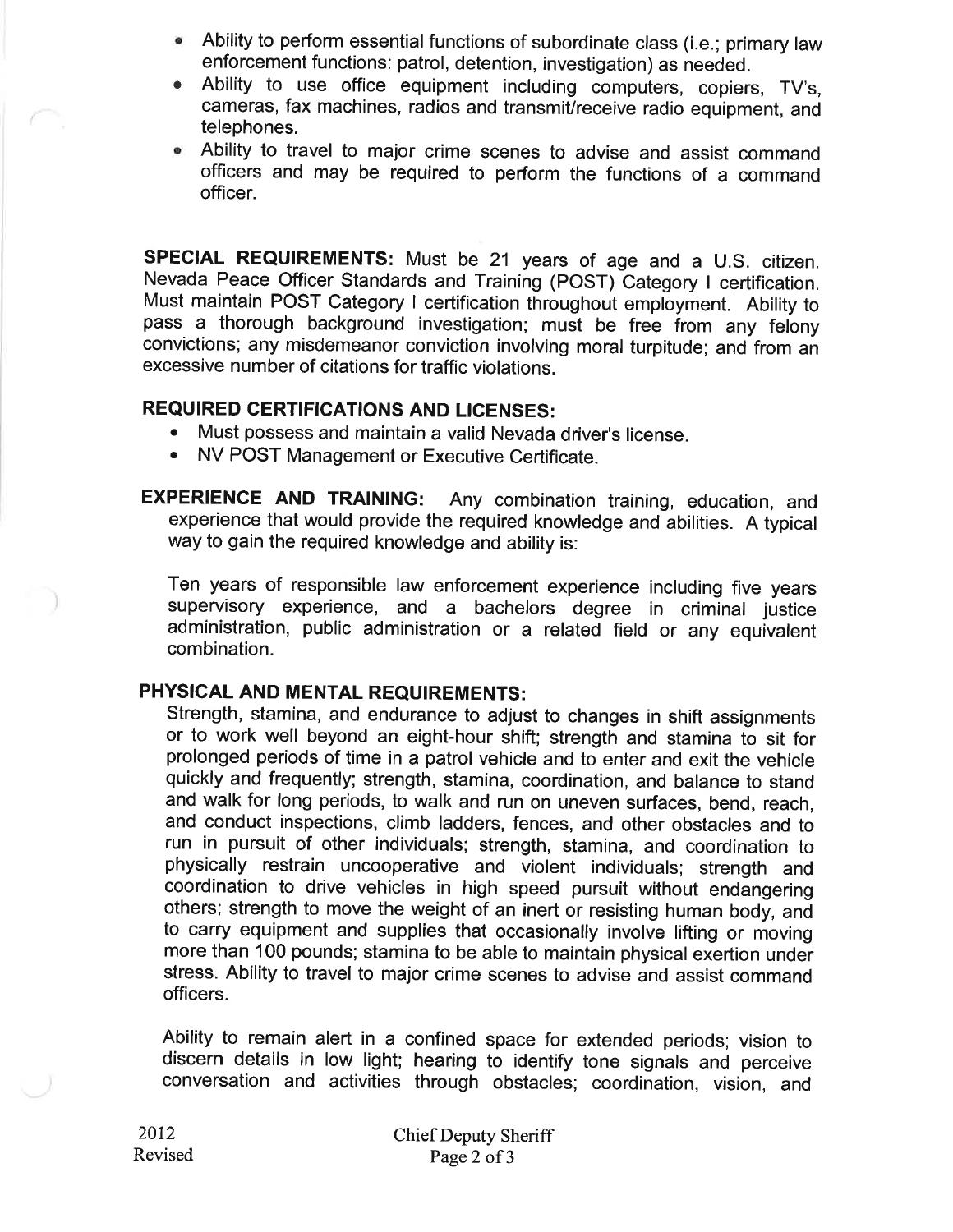- Ability to perform essential functions of subordinate class (i.e.; primary law enforcement functions: patrol, detention, investigation) as needed.
- Ability to use office equipment including computers, copiers, TV's, cameras, fax machines, radios and transmit/receive radio equipment, and telephones.
- Ability to travel to major crime scenes to advise and assist command officers and may be required to perform the functions of a command officer.

SPECIAL REQUIREMENTS: Must be 21 years of age and a U.S. citizen. Nevada Peace Officer Standards and Training (POST) Category I certification. Must maintain POST Category I certification throughout employment. Ability to pass a thorough background investigation; must be free from any felony convictions; any misdemeanor conviction involving moral turpitude; and from an excessive number of citations for traffic violations.

# **REQUIRED CERTIFICATIONS AND LICENSES:**

- Must possess and maintain a valid Nevada driver's license.
- NV POST Management or Executive Certificate.

**EXPERIENCE AND TRAINING:** Any combination training, education, and experience that would provide the required knowledge and abilities. A typical way to gain the required knowledge and ability is:

Ten years of responsible law enforcement experience including five years supervisory experience, and a bachelors degree in criminal justice administration, public administration or a related field or any equivalent combination.

## PHYSICAL AND MENTAL REQUIREMENTS:

Strength, stamina, and endurance to adjust to changes in shift assignments or to work well beyond an eight-hour shift; strength and stamina to sit for prolonged periods of time in a patrol vehicle and to enter and exit the vehicle quickly and frequently; strength, stamina, coordination, and balance to stand and walk for long periods, to walk and run on uneven surfaces, bend, reach, and conduct inspections, climb ladders, fences, and other obstacles and to run in pursuit of other individuals; strength, stamina, and coordination to physically restrain uncooperative and violent individuals; strength and coordination to drive vehicles in high speed pursuit without endangering others; strength to move the weight of an inert or resisting human body, and to carry equipment and supplies that occasionally involve lifting or moving more than 100 pounds; stamina to be able to maintain physical exertion under stress. Ability to travel to major crime scenes to advise and assist command officers.

Ability to remain alert in a confined space for extended periods; vision to discern details in low light; hearing to identify tone signals and perceive conversation and activities through obstacles; coordination, vision, and